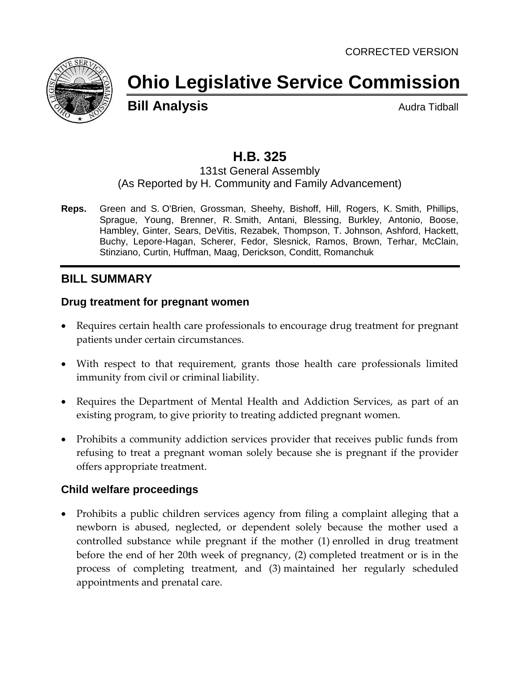

# **Ohio Legislative Service Commission**

**Bill Analysis Audra Tidball** 

## **H.B. 325**

#### 131st General Assembly (As Reported by H. Community and Family Advancement)

**Reps.** Green and S. O'Brien, Grossman, Sheehy, Bishoff, Hill, Rogers, K. Smith, Phillips, Sprague, Young, Brenner, R. Smith, Antani, Blessing, Burkley, Antonio, Boose, Hambley, Ginter, Sears, DeVitis, Rezabek, Thompson, T. Johnson, Ashford, Hackett, Buchy, Lepore-Hagan, Scherer, Fedor, Slesnick, Ramos, Brown, Terhar, McClain, Stinziano, Curtin, Huffman, Maag, Derickson, Conditt, Romanchuk

## **BILL SUMMARY**

### **Drug treatment for pregnant women**

- Requires certain health care professionals to encourage drug treatment for pregnant patients under certain circumstances.
- With respect to that requirement, grants those health care professionals limited immunity from civil or criminal liability.
- Requires the Department of Mental Health and Addiction Services, as part of an existing program, to give priority to treating addicted pregnant women.
- Prohibits a community addiction services provider that receives public funds from refusing to treat a pregnant woman solely because she is pregnant if the provider offers appropriate treatment.

### **Child welfare proceedings**

 Prohibits a public children services agency from filing a complaint alleging that a newborn is abused, neglected, or dependent solely because the mother used a controlled substance while pregnant if the mother (1) enrolled in drug treatment before the end of her 20th week of pregnancy, (2) completed treatment or is in the process of completing treatment, and (3) maintained her regularly scheduled appointments and prenatal care.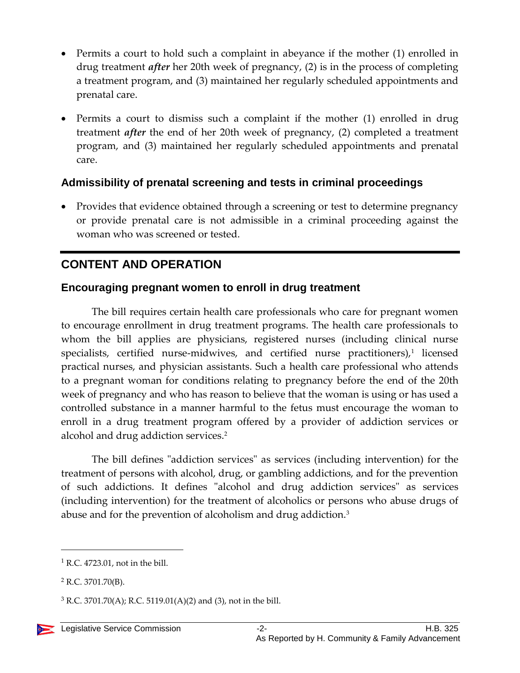- Permits a court to hold such a complaint in abeyance if the mother (1) enrolled in drug treatment *after* her 20th week of pregnancy, (2) is in the process of completing a treatment program, and (3) maintained her regularly scheduled appointments and prenatal care.
- Permits a court to dismiss such a complaint if the mother (1) enrolled in drug treatment *after* the end of her 20th week of pregnancy, (2) completed a treatment program, and (3) maintained her regularly scheduled appointments and prenatal care.

## **Admissibility of prenatal screening and tests in criminal proceedings**

• Provides that evidence obtained through a screening or test to determine pregnancy or provide prenatal care is not admissible in a criminal proceeding against the woman who was screened or tested.

## **CONTENT AND OPERATION**

### **Encouraging pregnant women to enroll in drug treatment**

The bill requires certain health care professionals who care for pregnant women to encourage enrollment in drug treatment programs. The health care professionals to whom the bill applies are physicians, registered nurses (including clinical nurse  $s$ pecialists, certified nurse-midwives, and certified nurse practitioners), $1$  licensed practical nurses, and physician assistants. Such a health care professional who attends to a pregnant woman for conditions relating to pregnancy before the end of the 20th week of pregnancy and who has reason to believe that the woman is using or has used a controlled substance in a manner harmful to the fetus must encourage the woman to enroll in a drug treatment program offered by a provider of addiction services or alcohol and drug addiction services.<sup>2</sup>

The bill defines "addiction services" as services (including intervention) for the treatment of persons with alcohol, drug, or gambling addictions, and for the prevention of such addictions. It defines "alcohol and drug addiction services" as services (including intervention) for the treatment of alcoholics or persons who abuse drugs of abuse and for the prevention of alcoholism and drug addiction.<sup>3</sup>

 $<sup>1</sup>$  R.C. 4723.01, not in the bill.</sup>

 $2$  R.C. 3701.70(B).

 $3$  R.C. 3701.70(A); R.C. 5119.01(A)(2) and (3), not in the bill.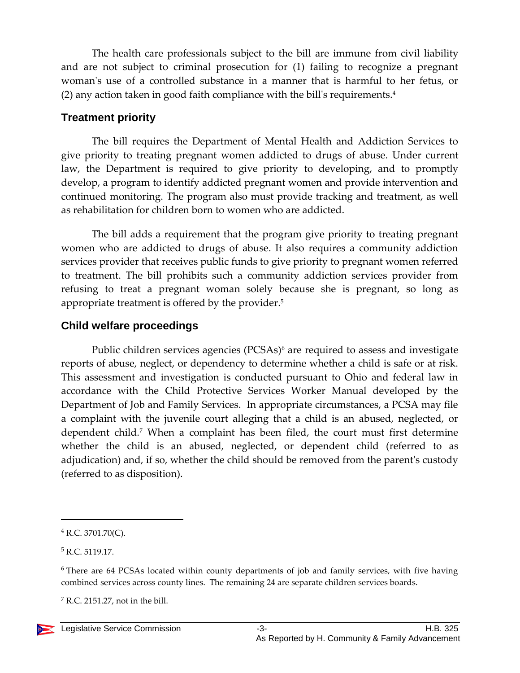The health care professionals subject to the bill are immune from civil liability and are not subject to criminal prosecution for (1) failing to recognize a pregnant woman's use of a controlled substance in a manner that is harmful to her fetus, or (2) any action taken in good faith compliance with the bill's requirements.<sup>4</sup>

## **Treatment priority**

The bill requires the Department of Mental Health and Addiction Services to give priority to treating pregnant women addicted to drugs of abuse. Under current law, the Department is required to give priority to developing, and to promptly develop, a program to identify addicted pregnant women and provide intervention and continued monitoring. The program also must provide tracking and treatment, as well as rehabilitation for children born to women who are addicted.

The bill adds a requirement that the program give priority to treating pregnant women who are addicted to drugs of abuse. It also requires a community addiction services provider that receives public funds to give priority to pregnant women referred to treatment. The bill prohibits such a community addiction services provider from refusing to treat a pregnant woman solely because she is pregnant, so long as appropriate treatment is offered by the provider.<sup>5</sup>

## **Child welfare proceedings**

Public children services agencies (PCSAs)<sup>6</sup> are required to assess and investigate reports of abuse, neglect, or dependency to determine whether a child is safe or at risk. This assessment and investigation is conducted pursuant to Ohio and federal law in accordance with the Child Protective Services Worker Manual developed by the Department of Job and Family Services. In appropriate circumstances, a PCSA may file a complaint with the juvenile court alleging that a child is an abused, neglected, or dependent child.<sup>7</sup> When a complaint has been filed, the court must first determine whether the child is an abused, neglected, or dependent child (referred to as adjudication) and, if so, whether the child should be removed from the parent's custody (referred to as disposition).

<sup>4</sup> R.C. 3701.70(C).

<sup>5</sup> R.C. 5119.17.

<sup>&</sup>lt;sup>6</sup> There are 64 PCSAs located within county departments of job and family services, with five having combined services across county lines. The remaining 24 are separate children services boards.

 $<sup>7</sup>$  R.C. 2151.27, not in the bill.</sup>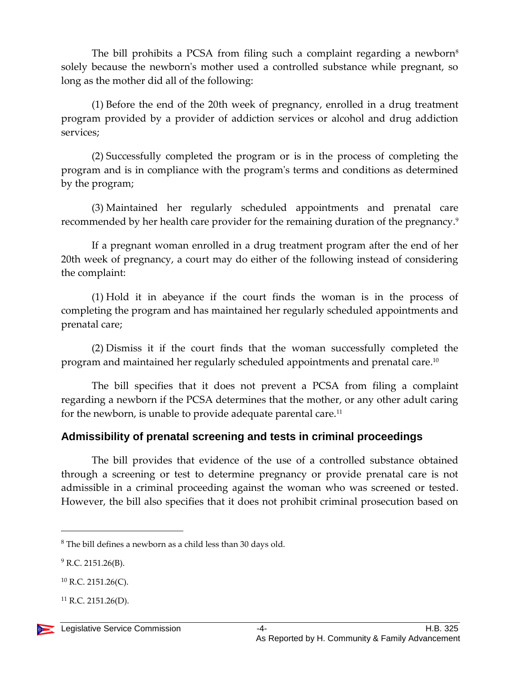The bill prohibits a PCSA from filing such a complaint regarding a newborn<sup>8</sup> solely because the newborn's mother used a controlled substance while pregnant, so long as the mother did all of the following:

(1) Before the end of the 20th week of pregnancy, enrolled in a drug treatment program provided by a provider of addiction services or alcohol and drug addiction services;

(2) Successfully completed the program or is in the process of completing the program and is in compliance with the program's terms and conditions as determined by the program;

(3) Maintained her regularly scheduled appointments and prenatal care recommended by her health care provider for the remaining duration of the pregnancy.<sup>9</sup>

If a pregnant woman enrolled in a drug treatment program after the end of her 20th week of pregnancy, a court may do either of the following instead of considering the complaint:

(1) Hold it in abeyance if the court finds the woman is in the process of completing the program and has maintained her regularly scheduled appointments and prenatal care;

(2) Dismiss it if the court finds that the woman successfully completed the program and maintained her regularly scheduled appointments and prenatal care. $^{\rm 10}$ 

The bill specifies that it does not prevent a PCSA from filing a complaint regarding a newborn if the PCSA determines that the mother, or any other adult caring for the newborn, is unable to provide adequate parental care.<sup>11</sup>

## **Admissibility of prenatal screening and tests in criminal proceedings**

The bill provides that evidence of the use of a controlled substance obtained through a screening or test to determine pregnancy or provide prenatal care is not admissible in a criminal proceeding against the woman who was screened or tested. However, the bill also specifies that it does not prohibit criminal prosecution based on

 $8$  The bill defines a newborn as a child less than 30 days old.

 $9$  R.C. 2151.26(B).

 $^{10}$  R.C. 2151.26(C).

 $^{11}$  R.C. 2151.26(D).